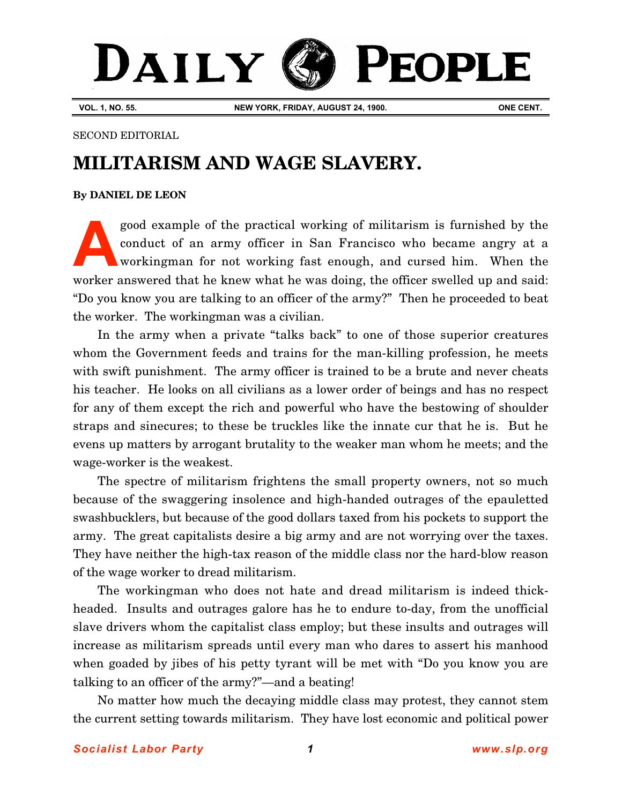## DAILY PEOPLE

**VOL. 1, NO. 55. NEW YORK, FRIDAY, AUGUST 24, 1900. ONE CENT.**

## SECOND EDITORIAL

## **MILITARISM AND WAGE SLAVERY.**

## **[By DANIEL DE LEON](http://www.slp.org/De_Leon.htm)**

good example of the practical working of militarism is furnished by the conduct of an army officer in San Francisco who became angry at a workingman for not working fast enough, and cursed him. When the worker answered that he knew what he was doing, the officer swelled up and said: "Do you know you are talking to an officer of the army?" Then he proceeded to beat the worker. The workingman was a civilian. **A**

In the army when a private "talks back" to one of those superior creatures whom the Government feeds and trains for the man-killing profession, he meets with swift punishment. The army officer is trained to be a brute and never cheats his teacher. He looks on all civilians as a lower order of beings and has no respect for any of them except the rich and powerful who have the bestowing of shoulder straps and sinecures; to these be truckles like the innate cur that he is. But he evens up matters by arrogant brutality to the weaker man whom he meets; and the wage-worker is the weakest.

The spectre of militarism frightens the small property owners, not so much because of the swaggering insolence and high-handed outrages of the epauletted swashbucklers, but because of the good dollars taxed from his pockets to support the army. The great capitalists desire a big army and are not worrying over the taxes. They have neither the high-tax reason of the middle class nor the hard-blow reason of the wage worker to dread militarism.

The workingman who does not hate and dread militarism is indeed thickheaded. Insults and outrages galore has he to endure to-day, from the unofficial slave drivers whom the capitalist class employ; but these insults and outrages will increase as militarism spreads until every man who dares to assert his manhood when goaded by jibes of his petty tyrant will be met with "Do you know you are talking to an officer of the army?"—and a beating!

No matter how much the decaying middle class may protest, they cannot stem the current setting towards militarism. They have lost economic and political power